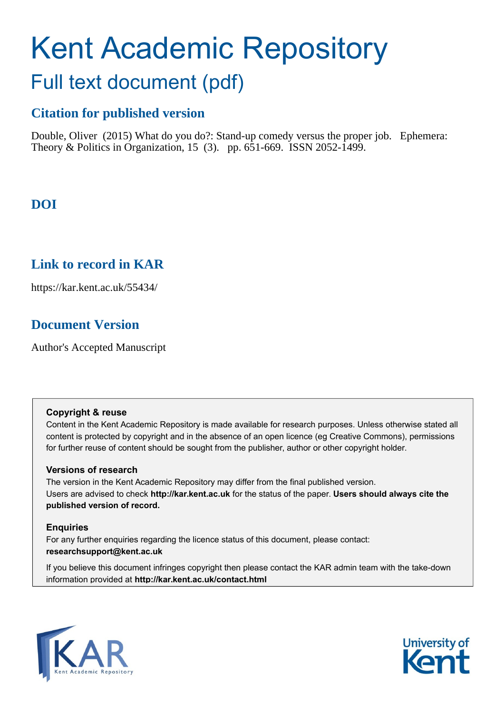# Kent Academic Repository Full text document (pdf)

# **Citation for published version**

Double, Oliver (2015) What do you do?: Stand-up comedy versus the proper job. Ephemera: Theory & Politics in Organization, 15 (3). pp. 651-669. ISSN 2052-1499.

# **DOI**

### **Link to record in KAR**

https://kar.kent.ac.uk/55434/

# **Document Version**

Author's Accepted Manuscript

#### **Copyright & reuse**

Content in the Kent Academic Repository is made available for research purposes. Unless otherwise stated all content is protected by copyright and in the absence of an open licence (eg Creative Commons), permissions for further reuse of content should be sought from the publisher, author or other copyright holder.

#### **Versions of research**

The version in the Kent Academic Repository may differ from the final published version. Users are advised to check **http://kar.kent.ac.uk** for the status of the paper. **Users should always cite the published version of record.**

#### **Enquiries**

For any further enquiries regarding the licence status of this document, please contact: **researchsupport@kent.ac.uk**

If you believe this document infringes copyright then please contact the KAR admin team with the take-down information provided at **http://kar.kent.ac.uk/contact.html**



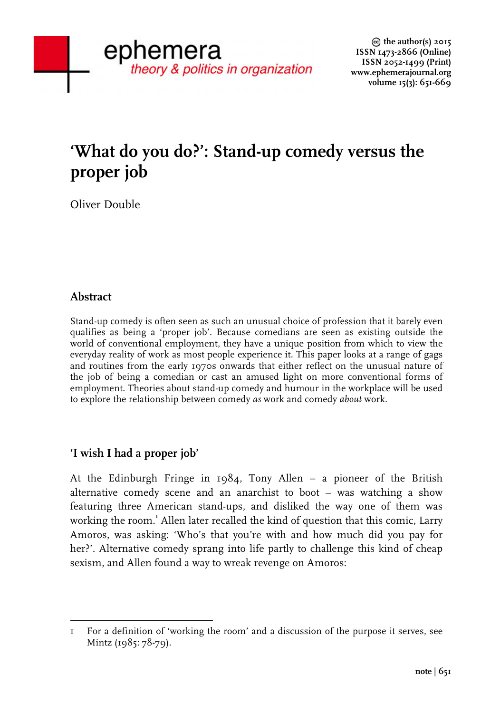# **'What do you do?': Stand-up comedy versus the proper job**

Oliver Double

#### **Abstract**

Stand-up comedy is often seen as such an unusual choice of profession that it barely even qualifies as being a 'proper job'. Because comedians are seen as existing outside the world of conventional employment, they have a unique position from which to view the everyday reality of work as most people experience it. This paper looks at a range of gags and routines from the early 1970s onwards that either reflect on the unusual nature of the job of being a comedian or cast an amused light on more conventional forms of employment. Theories about stand-up comedy and humour in the workplace will be used to explore the relationship between comedy *as* work and comedy *about* work.

#### **'I wish I had a proper job'**

At the Edinburgh Fringe in 1984, Tony Allen – a pioneer of the British alternative comedy scene and an anarchist to boot – was watching a show featuring three American stand-ups, and disliked the way one of them was working the room.<sup>1</sup> Allen later recalled the kind of question that this comic, Larry Amoros, was asking: 'Who's that you're with and how much did you pay for her?'. Alternative comedy sprang into life partly to challenge this kind of cheap sexism, and Allen found a way to wreak revenge on Amoros:

 1 For a definition of 'working the room' and a discussion of the purpose it serves, see Mintz (1985: 78-79).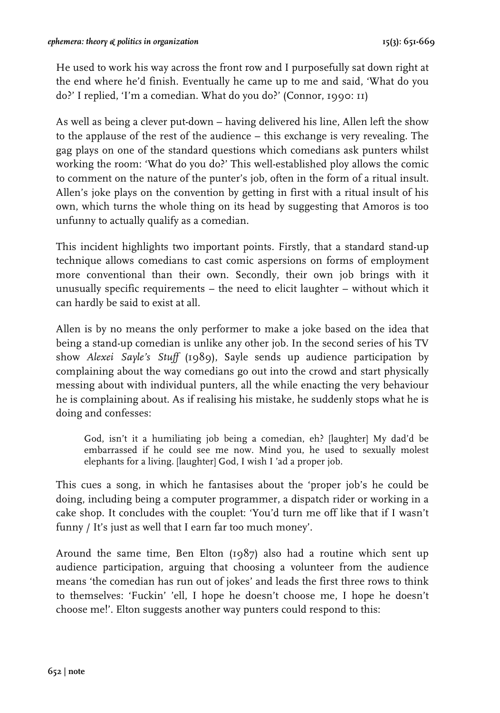He used to work his way across the front row and I purposefully sat down right at the end where he'd finish. Eventually he came up to me and said, 'What do you do?' I replied, 'I'm a comedian. What do you do?' (Connor, 1990: 11)

As well as being a clever put-down – having delivered his line, Allen left the show to the applause of the rest of the audience – this exchange is very revealing. The gag plays on one of the standard questions which comedians ask punters whilst working the room: 'What do you do?' This well-established ploy allows the comic to comment on the nature of the punter's job, often in the form of a ritual insult. Allen's joke plays on the convention by getting in first with a ritual insult of his own, which turns the whole thing on its head by suggesting that Amoros is too unfunny to actually qualify as a comedian.

This incident highlights two important points. Firstly, that a standard stand-up technique allows comedians to cast comic aspersions on forms of employment more conventional than their own. Secondly, their own job brings with it unusually specific requirements – the need to elicit laughter – without which it can hardly be said to exist at all.

Allen is by no means the only performer to make a joke based on the idea that being a stand-up comedian is unlike any other job. In the second series of his TV show *Alexei Sayle's Stuff* (1989), Sayle sends up audience participation by complaining about the way comedians go out into the crowd and start physically messing about with individual punters, all the while enacting the very behaviour he is complaining about. As if realising his mistake, he suddenly stops what he is doing and confesses:

God, isn't it a humiliating job being a comedian, eh? [laughter] My dad'd be embarrassed if he could see me now. Mind you, he used to sexually molest elephants for a living. [laughter] God, I wish I 'ad a proper job.

This cues a song, in which he fantasises about the 'proper job's he could be doing, including being a computer programmer, a dispatch rider or working in a cake shop. It concludes with the couplet: 'You'd turn me off like that if I wasn't funny / It's just as well that I earn far too much money'.

Around the same time, Ben Elton (1987) also had a routine which sent up audience participation, arguing that choosing a volunteer from the audience means 'the comedian has run out of jokes' and leads the first three rows to think to themselves: 'Fuckin' 'ell, I hope he doesn't choose me, I hope he doesn't choose me!'. Elton suggests another way punters could respond to this: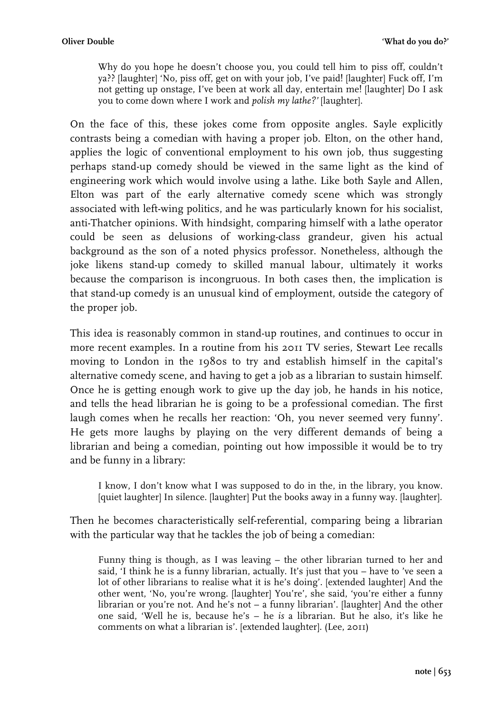Why do you hope he doesn't choose you, you could tell him to piss off, couldn't ya?? [laughter] 'No, piss off, get on with your job, I've paid! [laughter] Fuck off, I'm not getting up onstage, I've been at work all day, entertain me! [laughter] Do I ask you to come down where I work and *polish my lathe?'* [laughter].

On the face of this, these jokes come from opposite angles. Sayle explicitly contrasts being a comedian with having a proper job. Elton, on the other hand, applies the logic of conventional employment to his own job, thus suggesting perhaps stand-up comedy should be viewed in the same light as the kind of engineering work which would involve using a lathe. Like both Sayle and Allen, Elton was part of the early alternative comedy scene which was strongly associated with left-wing politics, and he was particularly known for his socialist, anti-Thatcher opinions. With hindsight, comparing himself with a lathe operator could be seen as delusions of working-class grandeur, given his actual background as the son of a noted physics professor. Nonetheless, although the joke likens stand-up comedy to skilled manual labour, ultimately it works because the comparison is incongruous. In both cases then, the implication is that stand-up comedy is an unusual kind of employment, outside the category of the proper job.

This idea is reasonably common in stand-up routines, and continues to occur in more recent examples. In a routine from his 2011 TV series, Stewart Lee recalls moving to London in the 1980s to try and establish himself in the capital's alternative comedy scene, and having to get a job as a librarian to sustain himself. Once he is getting enough work to give up the day job, he hands in his notice, and tells the head librarian he is going to be a professional comedian. The first laugh comes when he recalls her reaction: 'Oh, you never seemed very funny'. He gets more laughs by playing on the very different demands of being a librarian and being a comedian, pointing out how impossible it would be to try and be funny in a library:

I know, I don't know what I was supposed to do in the, in the library, you know. [quiet laughter] In silence. [laughter] Put the books away in a funny way. [laughter].

Then he becomes characteristically self-referential, comparing being a librarian with the particular way that he tackles the job of being a comedian:

Funny thing is though, as I was leaving – the other librarian turned to her and said, 'I think he is a funny librarian, actually. It's just that you – have to 've seen a lot of other librarians to realise what it is he's doing'. [extended laughter] And the other went, 'No, you're wrong. [laughter] You're', she said, 'you're either a funny librarian or you're not. And he's not – a funny librarian'. [laughter] And the other one said, 'Well he is, because he's – he *is* a librarian. But he also, it's like he comments on what a librarian is'. [extended laughter]. (Lee, 2011)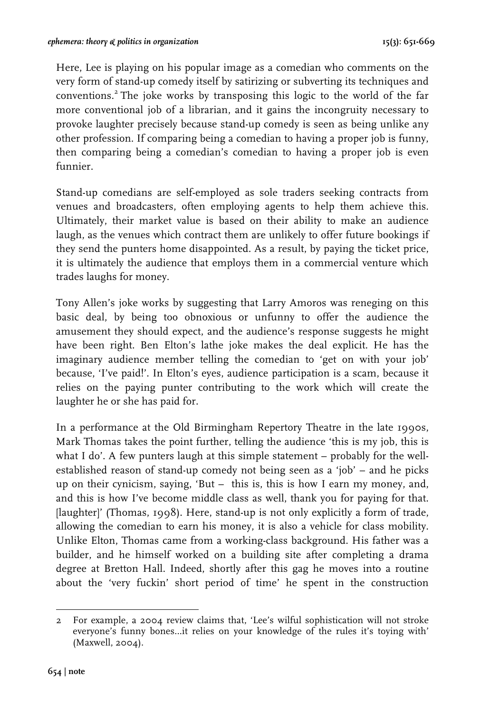Here, Lee is playing on his popular image as a comedian who comments on the very form of stand-up comedy itself by satirizing or subverting its techniques and conventions.<sup>2</sup> The joke works by transposing this logic to the world of the far more conventional job of a librarian, and it gains the incongruity necessary to provoke laughter precisely because stand-up comedy is seen as being unlike any other profession. If comparing being a comedian to having a proper job is funny, then comparing being a comedian's comedian to having a proper job is even funnier.

Stand-up comedians are self-employed as sole traders seeking contracts from venues and broadcasters, often employing agents to help them achieve this. Ultimately, their market value is based on their ability to make an audience laugh, as the venues which contract them are unlikely to offer future bookings if they send the punters home disappointed. As a result, by paying the ticket price, it is ultimately the audience that employs them in a commercial venture which trades laughs for money.

Tony Allen's joke works by suggesting that Larry Amoros was reneging on this basic deal, by being too obnoxious or unfunny to offer the audience the amusement they should expect, and the audience's response suggests he might have been right. Ben Elton's lathe joke makes the deal explicit. He has the imaginary audience member telling the comedian to 'get on with your job' because, 'I've paid!'. In Elton's eyes, audience participation is a scam, because it relies on the paying punter contributing to the work which will create the laughter he or she has paid for.

In a performance at the Old Birmingham Repertory Theatre in the late 1990s, Mark Thomas takes the point further, telling the audience 'this is my job, this is what I do'. A few punters laugh at this simple statement – probably for the wellestablished reason of stand-up comedy not being seen as a 'job' – and he picks up on their cynicism, saying, 'But – this is, this is how I earn my money, and, and this is how I've become middle class as well, thank you for paying for that. [laughter]' (Thomas, 1998). Here, stand-up is not only explicitly a form of trade, allowing the comedian to earn his money, it is also a vehicle for class mobility. Unlike Elton, Thomas came from a working-class background. His father was a builder, and he himself worked on a building site after completing a drama degree at Bretton Hall. Indeed, shortly after this gag he moves into a routine about the 'very fuckin' short period of time' he spent in the construction

 2 For example, a 2004 review claims that, 'Lee's wilful sophistication will not stroke everyone's funny bones…it relies on your knowledge of the rules it's toying with' (Maxwell, 2004).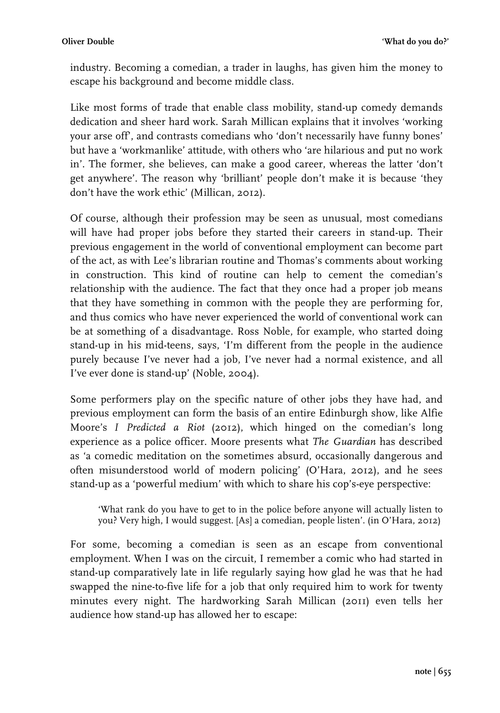industry. Becoming a comedian, a trader in laughs, has given him the money to escape his background and become middle class.

Like most forms of trade that enable class mobility, stand-up comedy demands dedication and sheer hard work. Sarah Millican explains that it involves 'working your arse off', and contrasts comedians who 'don't necessarily have funny bones' but have a 'workmanlike' attitude, with others who 'are hilarious and put no work in'. The former, she believes, can make a good career, whereas the latter 'don't get anywhere'. The reason why 'brilliant' people don't make it is because 'they don't have the work ethic' (Millican, 2012).

Of course, although their profession may be seen as unusual, most comedians will have had proper jobs before they started their careers in stand-up. Their previous engagement in the world of conventional employment can become part of the act, as with Lee's librarian routine and Thomas's comments about working in construction. This kind of routine can help to cement the comedian's relationship with the audience. The fact that they once had a proper job means that they have something in common with the people they are performing for, and thus comics who have never experienced the world of conventional work can be at something of a disadvantage. Ross Noble, for example, who started doing stand-up in his mid-teens, says, 'I'm different from the people in the audience purely because I've never had a job, I've never had a normal existence, and all I've ever done is stand-up' (Noble, 2004).

Some performers play on the specific nature of other jobs they have had, and previous employment can form the basis of an entire Edinburgh show, like Alfie Moore's *I Predicted a Riot* (2012), which hinged on the comedian's long experience as a police officer. Moore presents what *The Guardian* has described as 'a comedic meditation on the sometimes absurd, occasionally dangerous and often misunderstood world of modern policing' (O'Hara, 2012), and he sees stand-up as a 'powerful medium' with which to share his cop's-eye perspective:

'What rank do you have to get to in the police before anyone will actually listen to you? Very high, I would suggest. [As] a comedian, people listen'. (in O'Hara, 2012)

For some, becoming a comedian is seen as an escape from conventional employment. When I was on the circuit, I remember a comic who had started in stand-up comparatively late in life regularly saying how glad he was that he had swapped the nine-to-five life for a job that only required him to work for twenty minutes every night. The hardworking Sarah Millican (2011) even tells her audience how stand-up has allowed her to escape: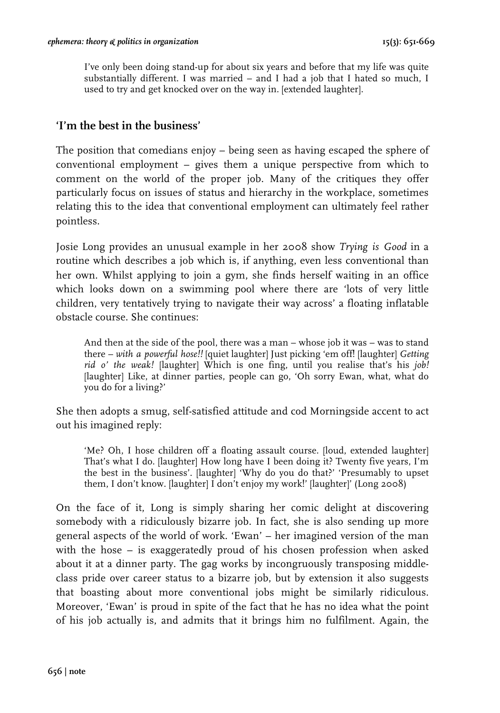I've only been doing stand-up for about six years and before that my life was quite substantially different. I was married – and I had a job that I hated so much, I used to try and get knocked over on the way in. [extended laughter].

#### **'I'm the best in the business'**

The position that comedians enjoy – being seen as having escaped the sphere of conventional employment – gives them a unique perspective from which to comment on the world of the proper job. Many of the critiques they offer particularly focus on issues of status and hierarchy in the workplace, sometimes relating this to the idea that conventional employment can ultimately feel rather pointless.

Josie Long provides an unusual example in her 2008 show *Trying is Good* in a routine which describes a job which is, if anything, even less conventional than her own. Whilst applying to join a gym, she finds herself waiting in an office which looks down on a swimming pool where there are 'lots of very little children, very tentatively trying to navigate their way across' a floating inflatable obstacle course. She continues:

And then at the side of the pool, there was a man – whose job it was – was to stand there – *with a powerful hose!!* [quiet laughter] Just picking 'em off! [laughter] *Getting rid o' the weak!* [laughter] Which is one fing, until you realise that's his *job!* [laughter] Like, at dinner parties, people can go, 'Oh sorry Ewan, what, what do you do for a living?'

She then adopts a smug, self-satisfied attitude and cod Morningside accent to act out his imagined reply:

'Me? Oh, I hose children off a floating assault course. [loud, extended laughter] That's what I do. [laughter] How long have I been doing it? Twenty five years, I'm the best in the business'. [laughter] 'Why do you do that?' 'Presumably to upset them, I don't know. [laughter] I don't enjoy my work!' [laughter]' (Long 2008)

On the face of it, Long is simply sharing her comic delight at discovering somebody with a ridiculously bizarre job. In fact, she is also sending up more general aspects of the world of work. 'Ewan' – her imagined version of the man with the hose – is exaggeratedly proud of his chosen profession when asked about it at a dinner party. The gag works by incongruously transposing middleclass pride over career status to a bizarre job, but by extension it also suggests that boasting about more conventional jobs might be similarly ridiculous. Moreover, 'Ewan' is proud in spite of the fact that he has no idea what the point of his job actually is, and admits that it brings him no fulfilment. Again, the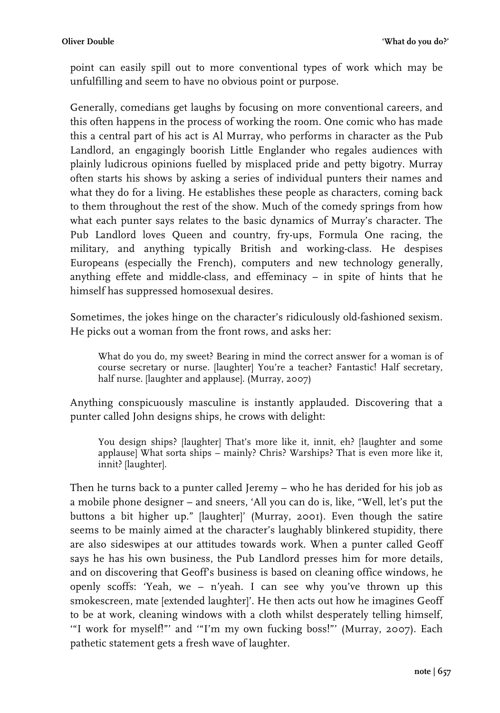point can easily spill out to more conventional types of work which may be unfulfilling and seem to have no obvious point or purpose.

Generally, comedians get laughs by focusing on more conventional careers, and this often happens in the process of working the room. One comic who has made this a central part of his act is Al Murray, who performs in character as the Pub Landlord, an engagingly boorish Little Englander who regales audiences with plainly ludicrous opinions fuelled by misplaced pride and petty bigotry. Murray often starts his shows by asking a series of individual punters their names and what they do for a living. He establishes these people as characters, coming back to them throughout the rest of the show. Much of the comedy springs from how what each punter says relates to the basic dynamics of Murray's character. The Pub Landlord loves Queen and country, fry-ups, Formula One racing, the military, and anything typically British and working-class. He despises Europeans (especially the French), computers and new technology generally, anything effete and middle-class, and effeminacy – in spite of hints that he himself has suppressed homosexual desires.

Sometimes, the jokes hinge on the character's ridiculously old-fashioned sexism. He picks out a woman from the front rows, and asks her:

What do you do, my sweet? Bearing in mind the correct answer for a woman is of course secretary or nurse. [laughter] You're a teacher? Fantastic! Half secretary, half nurse. [laughter and applause]. (Murray, 2007)

Anything conspicuously masculine is instantly applauded. Discovering that a punter called John designs ships, he crows with delight:

You design ships? [laughter] That's more like it, innit, eh? [laughter and some applause] What sorta ships – mainly? Chris? Warships? That is even more like it, innit? [laughter].

Then he turns back to a punter called Jeremy – who he has derided for his job as a mobile phone designer – and sneers, 'All you can do is, like, "Well, let's put the buttons a bit higher up." [laughter]' (Murray, 2001). Even though the satire seems to be mainly aimed at the character's laughably blinkered stupidity, there are also sideswipes at our attitudes towards work. When a punter called Geoff says he has his own business, the Pub Landlord presses him for more details, and on discovering that Geoff's business is based on cleaning office windows, he openly scoffs: 'Yeah, we – n'yeah. I can see why you've thrown up this smokescreen, mate [extended laughter]'. He then acts out how he imagines Geoff to be at work, cleaning windows with a cloth whilst desperately telling himself, '"I work for myself!"' and '"I'm my own fucking boss!"' (Murray, 2007). Each pathetic statement gets a fresh wave of laughter.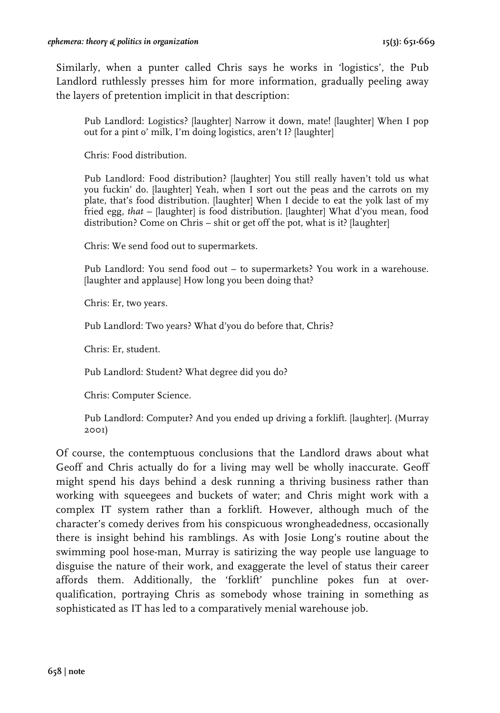Similarly, when a punter called Chris says he works in 'logistics', the Pub Landlord ruthlessly presses him for more information, gradually peeling away the layers of pretention implicit in that description:

Pub Landlord: Logistics? [laughter] Narrow it down, mate! [laughter] When I pop out for a pint o' milk, I'm doing logistics, aren't I? [laughter]

Chris: Food distribution.

Pub Landlord: Food distribution? [laughter] You still really haven't told us what you fuckin' do. [laughter] Yeah, when I sort out the peas and the carrots on my plate, that's food distribution. [laughter] When I decide to eat the yolk last of my fried egg, *that* – [laughter] is food distribution. [laughter] What d'you mean, food distribution? Come on Chris – shit or get off the pot, what is it? [laughter]

Chris: We send food out to supermarkets.

Pub Landlord: You send food out – to supermarkets? You work in a warehouse. [laughter and applause] How long you been doing that?

Chris: Er, two years.

Pub Landlord: Two years? What d'you do before that, Chris?

Chris: Er, student.

Pub Landlord: Student? What degree did you do?

Chris: Computer Science.

Pub Landlord: Computer? And you ended up driving a forklift. [laughter]. (Murray 2001)

Of course, the contemptuous conclusions that the Landlord draws about what Geoff and Chris actually do for a living may well be wholly inaccurate. Geoff might spend his days behind a desk running a thriving business rather than working with squeegees and buckets of water; and Chris might work with a complex IT system rather than a forklift. However, although much of the character's comedy derives from his conspicuous wrongheadedness, occasionally there is insight behind his ramblings. As with Josie Long's routine about the swimming pool hose-man, Murray is satirizing the way people use language to disguise the nature of their work, and exaggerate the level of status their career affords them. Additionally, the 'forklift' punchline pokes fun at overqualification, portraying Chris as somebody whose training in something as sophisticated as IT has led to a comparatively menial warehouse job.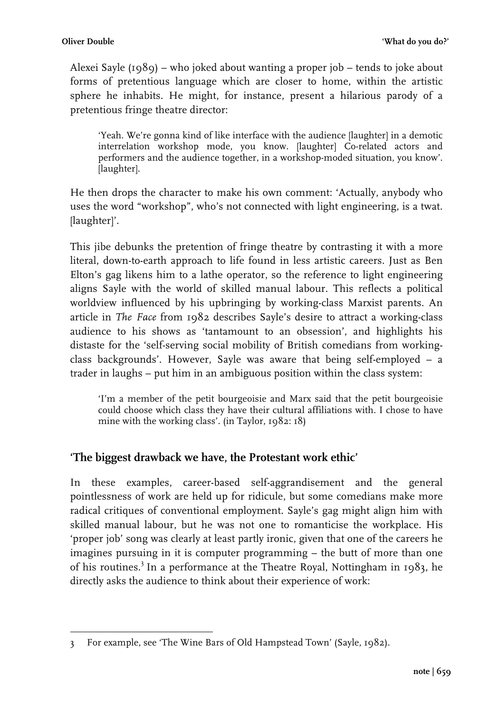Alexei Sayle (1989) – who joked about wanting a proper job – tends to joke about forms of pretentious language which are closer to home, within the artistic sphere he inhabits. He might, for instance, present a hilarious parody of a pretentious fringe theatre director:

'Yeah. We're gonna kind of like interface with the audience [laughter] in a demotic interrelation workshop mode, you know. [laughter] Co-related actors and performers and the audience together, in a workshop-moded situation, you know'. [laughter].

He then drops the character to make his own comment: 'Actually, anybody who uses the word "workshop", who's not connected with light engineering, is a twat. [laughter]'.

This jibe debunks the pretention of fringe theatre by contrasting it with a more literal, down-to-earth approach to life found in less artistic careers. Just as Ben Elton's gag likens him to a lathe operator, so the reference to light engineering aligns Sayle with the world of skilled manual labour. This reflects a political worldview influenced by his upbringing by working-class Marxist parents. An article in *The Face* from 1982 describes Sayle's desire to attract a working-class audience to his shows as 'tantamount to an obsession', and highlights his distaste for the 'self-serving social mobility of British comedians from workingclass backgrounds'. However, Sayle was aware that being self-employed – a trader in laughs – put him in an ambiguous position within the class system:

'I'm a member of the petit bourgeoisie and Marx said that the petit bourgeoisie could choose which class they have their cultural affiliations with. I chose to have mine with the working class'. (in Taylor, 1982: 18)

#### **'The biggest drawback we have, the Protestant work ethic'**

In these examples, career-based self-aggrandisement and the general pointlessness of work are held up for ridicule, but some comedians make more radical critiques of conventional employment. Sayle's gag might align him with skilled manual labour, but he was not one to romanticise the workplace. His 'proper job' song was clearly at least partly ironic, given that one of the careers he imagines pursuing in it is computer programming – the butt of more than one of his routines.<sup>3</sup> In a performance at the Theatre Royal, Nottingham in 1983, he directly asks the audience to think about their experience of work:

 3 For example, see 'The Wine Bars of Old Hampstead Town' (Sayle, 1982).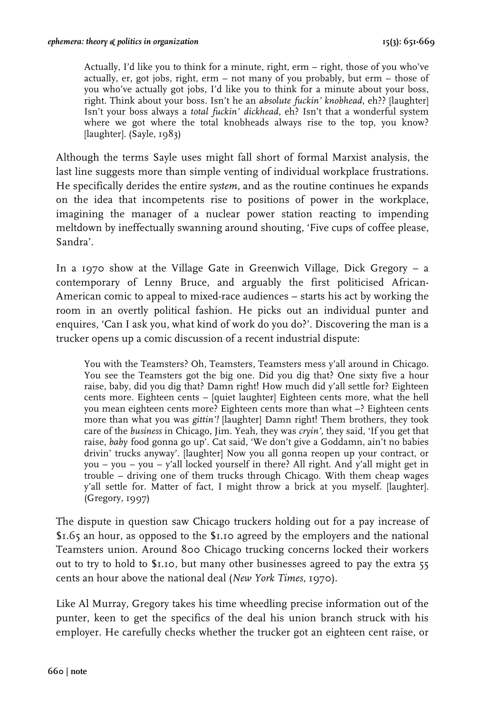Actually, I'd like you to think for a minute, right, erm – right, those of you who've actually, er, got jobs, right, erm – not many of you probably, but erm – those of you who've actually got jobs, I'd like you to think for a minute about your boss, right. Think about your boss. Isn't he an *absolute fuckin' knobhead*, eh?? [laughter] Isn't your boss always a *total fuckin' dickhead*, eh? Isn't that a wonderful system where we got where the total knobheads always rise to the top, you know? [laughter]. (Sayle, 1983)

Although the terms Sayle uses might fall short of formal Marxist analysis, the last line suggests more than simple venting of individual workplace frustrations. He specifically derides the entire *system*, and as the routine continues he expands on the idea that incompetents rise to positions of power in the workplace, imagining the manager of a nuclear power station reacting to impending meltdown by ineffectually swanning around shouting, 'Five cups of coffee please, Sandra'.

In a 1970 show at the Village Gate in Greenwich Village, Dick Gregory – a contemporary of Lenny Bruce, and arguably the first politicised African-American comic to appeal to mixed-race audiences – starts his act by working the room in an overtly political fashion. He picks out an individual punter and enquires, 'Can I ask you, what kind of work do you do?'. Discovering the man is a trucker opens up a comic discussion of a recent industrial dispute:

You with the Teamsters? Oh, Teamsters, Teamsters mess y'all around in Chicago. You see the Teamsters got the big one. Did you dig that? One sixty five a hour raise, baby, did you dig that? Damn right! How much did y'all settle for? Eighteen cents more. Eighteen cents – [quiet laughter] Eighteen cents more, what the hell you mean eighteen cents more? Eighteen cents more than what –? Eighteen cents more than what you was *gittin'!* [laughter] Damn right! Them brothers, they took care of the *business* in Chicago, Jim. Yeah, they was *cryin'*, they said, 'If you get that raise, *baby* food gonna go up'. Cat said, 'We don't give a Goddamn, ain't no babies drivin' trucks anyway'. [laughter] Now you all gonna reopen up your contract, or you – you – you – y'all locked yourself in there? All right. And y'all might get in trouble – driving one of them trucks through Chicago. With them cheap wages y'all settle for. Matter of fact, I might throw a brick at you myself. [laughter]. (Gregory, 1997)

The dispute in question saw Chicago truckers holding out for a pay increase of \$1.65 an hour, as opposed to the \$1.10 agreed by the employers and the national Teamsters union. Around 800 Chicago trucking concerns locked their workers out to try to hold to \$1.10, but many other businesses agreed to pay the extra 55 cents an hour above the national deal (*New York Times,* 1970).

Like Al Murray, Gregory takes his time wheedling precise information out of the punter, keen to get the specifics of the deal his union branch struck with his employer. He carefully checks whether the trucker got an eighteen cent raise, or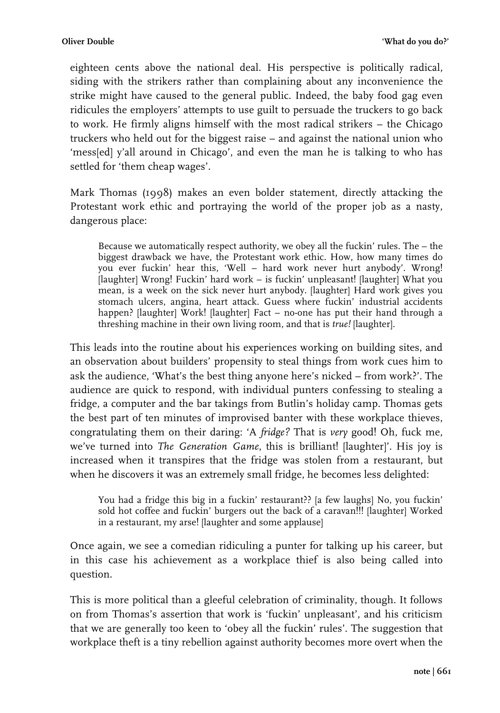eighteen cents above the national deal. His perspective is politically radical, siding with the strikers rather than complaining about any inconvenience the strike might have caused to the general public. Indeed, the baby food gag even ridicules the employers' attempts to use guilt to persuade the truckers to go back to work. He firmly aligns himself with the most radical strikers – the Chicago truckers who held out for the biggest raise – and against the national union who 'mess[ed] y'all around in Chicago', and even the man he is talking to who has settled for 'them cheap wages'.

Mark Thomas (1998) makes an even bolder statement, directly attacking the Protestant work ethic and portraying the world of the proper job as a nasty, dangerous place:

Because we automatically respect authority, we obey all the fuckin' rules. The – the biggest drawback we have, the Protestant work ethic. How, how many times do you ever fuckin' hear this, 'Well – hard work never hurt anybody'. Wrong! [laughter] Wrong! Fuckin' hard work – is fuckin' unpleasant! [laughter] What you mean, is a week on the sick never hurt anybody. [laughter] Hard work gives you stomach ulcers, angina, heart attack. Guess where fuckin' industrial accidents happen? [laughter] Work! [laughter] Fact – no-one has put their hand through a threshing machine in their own living room, and that is *true!* [laughter].

This leads into the routine about his experiences working on building sites, and an observation about builders' propensity to steal things from work cues him to ask the audience, 'What's the best thing anyone here's nicked – from work?'. The audience are quick to respond, with individual punters confessing to stealing a fridge, a computer and the bar takings from Butlin's holiday camp. Thomas gets the best part of ten minutes of improvised banter with these workplace thieves, congratulating them on their daring: 'A *fridge?* That is *very* good! Oh, fuck me, we've turned into *The Generation Game*, this is brilliant! [laughter]'. His joy is increased when it transpires that the fridge was stolen from a restaurant, but when he discovers it was an extremely small fridge, he becomes less delighted:

You had a fridge this big in a fuckin' restaurant?? [a few laughs] No, you fuckin' sold hot coffee and fuckin' burgers out the back of a caravan!!! [laughter] Worked in a restaurant, my arse! [laughter and some applause]

Once again, we see a comedian ridiculing a punter for talking up his career, but in this case his achievement as a workplace thief is also being called into question.

This is more political than a gleeful celebration of criminality, though. It follows on from Thomas's assertion that work is 'fuckin' unpleasant', and his criticism that we are generally too keen to 'obey all the fuckin' rules'. The suggestion that workplace theft is a tiny rebellion against authority becomes more overt when the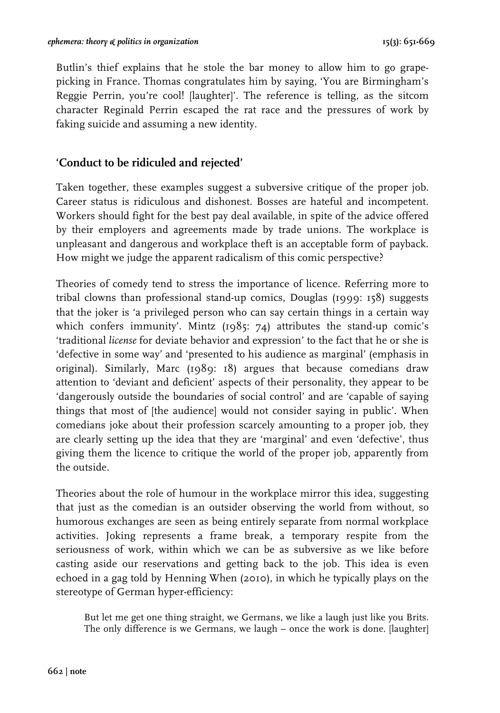Butlin's thief explains that he stole the bar money to allow him to go grapepicking in France. Thomas congratulates him by saying, 'You are Birmingham's Reggie Perrin, you're cool! [laughter]'. The reference is telling, as the sitcom character Reginald Perrin escaped the rat race and the pressures of work by faking suicide and assuming a new identity.

#### **'Conduct to be ridiculed and rejected'**

Taken together, these examples suggest a subversive critique of the proper job. Career status is ridiculous and dishonest. Bosses are hateful and incompetent. Workers should fight for the best pay deal available, in spite of the advice offered by their employers and agreements made by trade unions. The workplace is unpleasant and dangerous and workplace theft is an acceptable form of payback. How might we judge the apparent radicalism of this comic perspective?

Theories of comedy tend to stress the importance of licence. Referring more to tribal clowns than professional stand-up comics, Douglas (1999: 158) suggests that the joker is 'a privileged person who can say certain things in a certain way which confers immunity'. Mintz (1985: 74) attributes the stand-up comic's 'traditional *license* for deviate behavior and expression' to the fact that he or she is 'defective in some way' and 'presented to his audience as marginal' (emphasis in original). Similarly, Marc (1989: 18) argues that because comedians draw attention to 'deviant and deficient' aspects of their personality, they appear to be 'dangerously outside the boundaries of social control' and are 'capable of saying things that most of [the audience] would not consider saying in public'. When comedians joke about their profession scarcely amounting to a proper job, they are clearly setting up the idea that they are 'marginal' and even 'defective', thus giving them the licence to critique the world of the proper job, apparently from the outside.

Theories about the role of humour in the workplace mirror this idea, suggesting that just as the comedian is an outsider observing the world from without, so humorous exchanges are seen as being entirely separate from normal workplace activities. Joking represents a frame break, a temporary respite from the seriousness of work, within which we can be as subversive as we like before casting aside our reservations and getting back to the job. This idea is even echoed in a gag told by Henning When (2010), in which he typically plays on the stereotype of German hyper-efficiency:

But let me get one thing straight, we Germans, we like a laugh just like you Brits. The only difference is we Germans, we laugh – once the work is done. [laughter]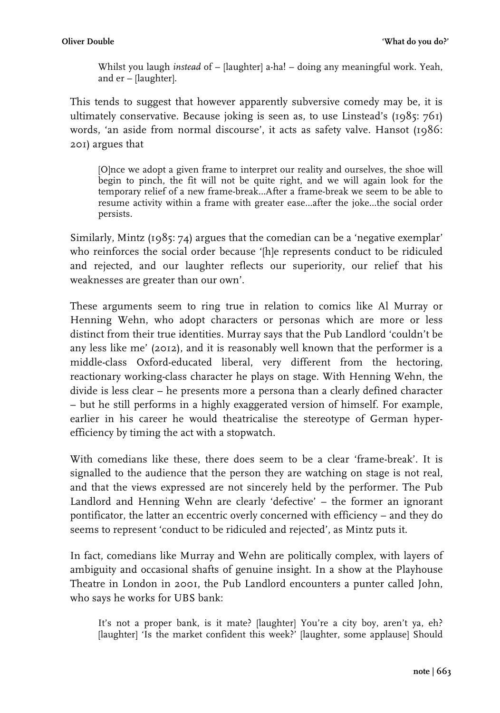Whilst you laugh *instead* of – [laughter] a-ha! – doing any meaningful work. Yeah, and er – [laughter].

This tends to suggest that however apparently subversive comedy may be, it is ultimately conservative. Because joking is seen as, to use Linstead's (1985: 761) words, 'an aside from normal discourse', it acts as safety valve. Hansot (1986: 201) argues that

[O]nce we adopt a given frame to interpret our reality and ourselves, the shoe will begin to pinch, the fit will not be quite right, and we will again look for the temporary relief of a new frame-break…After a frame-break we seem to be able to resume activity within a frame with greater ease…after the joke…the social order persists.

Similarly, Mintz (1985: 74) argues that the comedian can be a 'negative exemplar' who reinforces the social order because '[h]e represents conduct to be ridiculed and rejected, and our laughter reflects our superiority, our relief that his weaknesses are greater than our own'.

These arguments seem to ring true in relation to comics like Al Murray or Henning Wehn, who adopt characters or personas which are more or less distinct from their true identities. Murray says that the Pub Landlord 'couldn't be any less like me' (2012), and it is reasonably well known that the performer is a middle-class Oxford-educated liberal, very different from the hectoring, reactionary working-class character he plays on stage. With Henning Wehn, the divide is less clear – he presents more a persona than a clearly defined character – but he still performs in a highly exaggerated version of himself. For example, earlier in his career he would theatricalise the stereotype of German hyperefficiency by timing the act with a stopwatch.

With comedians like these, there does seem to be a clear 'frame-break'. It is signalled to the audience that the person they are watching on stage is not real, and that the views expressed are not sincerely held by the performer. The Pub Landlord and Henning Wehn are clearly 'defective' – the former an ignorant pontificator, the latter an eccentric overly concerned with efficiency – and they do seems to represent 'conduct to be ridiculed and rejected', as Mintz puts it.

In fact, comedians like Murray and Wehn are politically complex, with layers of ambiguity and occasional shafts of genuine insight. In a show at the Playhouse Theatre in London in 2001, the Pub Landlord encounters a punter called John, who says he works for UBS bank:

It's not a proper bank, is it mate? [laughter] You're a city boy, aren't ya, eh? [laughter] 'Is the market confident this week?' [laughter, some applause] Should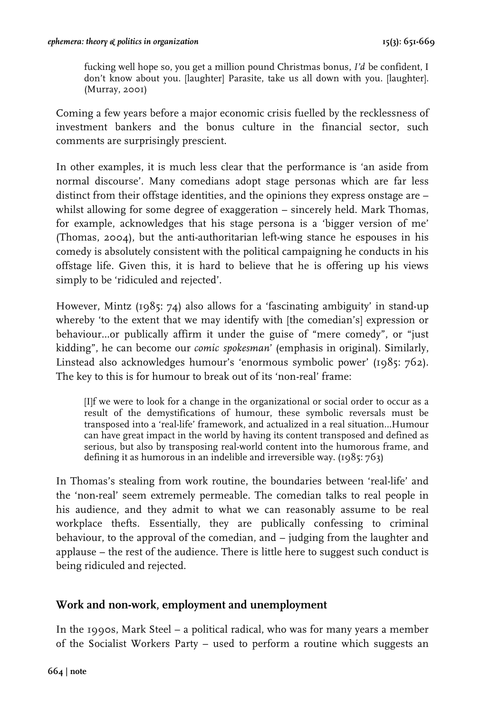fucking well hope so, you get a million pound Christmas bonus, *I'd* be confident, I don't know about you. [laughter] Parasite, take us all down with you. [laughter]. (Murray, 2001)

Coming a few years before a major economic crisis fuelled by the recklessness of investment bankers and the bonus culture in the financial sector, such comments are surprisingly prescient.

In other examples, it is much less clear that the performance is 'an aside from normal discourse'. Many comedians adopt stage personas which are far less distinct from their offstage identities, and the opinions they express onstage are – whilst allowing for some degree of exaggeration – sincerely held. Mark Thomas, for example, acknowledges that his stage persona is a 'bigger version of me' (Thomas, 2004), but the anti-authoritarian left-wing stance he espouses in his comedy is absolutely consistent with the political campaigning he conducts in his offstage life. Given this, it is hard to believe that he is offering up his views simply to be 'ridiculed and rejected'.

However, Mintz (1985: 74) also allows for a 'fascinating ambiguity' in stand-up whereby 'to the extent that we may identify with [the comedian's] expression or behaviour…or publically affirm it under the guise of "mere comedy", or "just kidding", he can become our *comic spokesman*' (emphasis in original). Similarly, Linstead also acknowledges humour's 'enormous symbolic power' (1985: 762). The key to this is for humour to break out of its 'non-real' frame:

[I]f we were to look for a change in the organizational or social order to occur as a result of the demystifications of humour, these symbolic reversals must be transposed into a 'real-life' framework, and actualized in a real situation…Humour can have great impact in the world by having its content transposed and defined as serious, but also by transposing real-world content into the humorous frame, and defining it as humorous in an indelible and irreversible way. (1985: 763)

In Thomas's stealing from work routine, the boundaries between 'real-life' and the 'non-real' seem extremely permeable. The comedian talks to real people in his audience, and they admit to what we can reasonably assume to be real workplace thefts. Essentially, they are publically confessing to criminal behaviour, to the approval of the comedian, and – judging from the laughter and applause – the rest of the audience. There is little here to suggest such conduct is being ridiculed and rejected.

#### **Work and non-work, employment and unemployment**

In the 1990s, Mark Steel – a political radical, who was for many years a member of the Socialist Workers Party – used to perform a routine which suggests an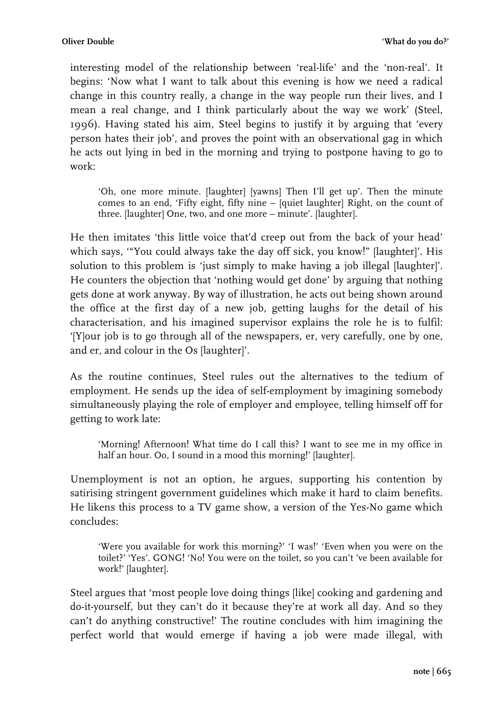interesting model of the relationship between 'real-life' and the 'non-real'. It begins: 'Now what I want to talk about this evening is how we need a radical change in this country really, a change in the way people run their lives, and I mean a real change, and I think particularly about the way we work' (Steel, 1996). Having stated his aim, Steel begins to justify it by arguing that 'every person hates their job', and proves the point with an observational gag in which he acts out lying in bed in the morning and trying to postpone having to go to work:

'Oh, one more minute. [laughter] [yawns] Then I'll get up'. Then the minute comes to an end, 'Fifty eight, fifty nine – [quiet laughter] Right, on the count of three. [laughter] One, two, and one more – minute'. [laughter].

He then imitates 'this little voice that'd creep out from the back of your head' which says, '"You could always take the day off sick, you know!" [laughter]'. His solution to this problem is 'just simply to make having a job illegal [laughter]'. He counters the objection that 'nothing would get done' by arguing that nothing gets done at work anyway. By way of illustration, he acts out being shown around the office at the first day of a new job, getting laughs for the detail of his characterisation, and his imagined supervisor explains the role he is to fulfil: '[Y]our job is to go through all of the newspapers, er, very carefully, one by one, and er, and colour in the Os [laughter]'.

As the routine continues, Steel rules out the alternatives to the tedium of employment. He sends up the idea of self-employment by imagining somebody simultaneously playing the role of employer and employee, telling himself off for getting to work late:

'Morning! Afternoon! What time do I call this? I want to see me in my office in half an hour. Oo, I sound in a mood this morning!' [laughter].

Unemployment is not an option, he argues, supporting his contention by satirising stringent government guidelines which make it hard to claim benefits. He likens this process to a TV game show, a version of the Yes-No game which concludes:

'Were you available for work this morning?' 'I was!' 'Even when you were on the toilet?' 'Yes'. GONG! 'No! You were on the toilet, so you can't 've been available for work!' [laughter].

Steel argues that 'most people love doing things [like] cooking and gardening and do-it-yourself, but they can't do it because they're at work all day. And so they can't do anything constructive!' The routine concludes with him imagining the perfect world that would emerge if having a job were made illegal, with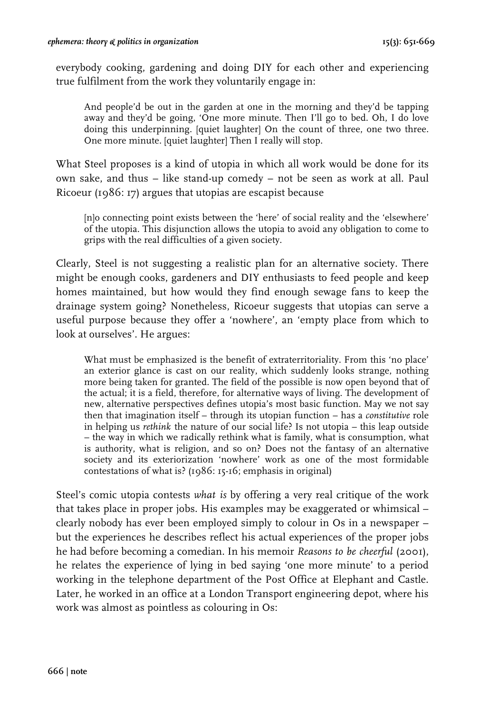everybody cooking, gardening and doing DIY for each other and experiencing true fulfilment from the work they voluntarily engage in:

And people'd be out in the garden at one in the morning and they'd be tapping away and they'd be going, 'One more minute. Then I'll go to bed. Oh, I do love doing this underpinning. [quiet laughter] On the count of three, one two three. One more minute. [quiet laughter] Then I really will stop.

What Steel proposes is a kind of utopia in which all work would be done for its own sake, and thus – like stand-up comedy – not be seen as work at all. Paul Ricoeur (1986: 17) argues that utopias are escapist because

[n]o connecting point exists between the 'here' of social reality and the 'elsewhere' of the utopia. This disjunction allows the utopia to avoid any obligation to come to grips with the real difficulties of a given society.

Clearly, Steel is not suggesting a realistic plan for an alternative society. There might be enough cooks, gardeners and DIY enthusiasts to feed people and keep homes maintained, but how would they find enough sewage fans to keep the drainage system going? Nonetheless, Ricoeur suggests that utopias can serve a useful purpose because they offer a 'nowhere', an 'empty place from which to look at ourselves'. He argues:

What must be emphasized is the benefit of extraterritoriality. From this 'no place' an exterior glance is cast on our reality, which suddenly looks strange, nothing more being taken for granted. The field of the possible is now open beyond that of the actual; it is a field, therefore, for alternative ways of living. The development of new, alternative perspectives defines utopia's most basic function. May we not say then that imagination itself – through its utopian function – has a *constitutive* role in helping us *rethink* the nature of our social life? Is not utopia – this leap outside – the way in which we radically rethink what is family, what is consumption, what is authority, what is religion, and so on? Does not the fantasy of an alternative society and its exteriorization 'nowhere' work as one of the most formidable contestations of what is? (1986: 15-16; emphasis in original)

Steel's comic utopia contests *what is* by offering a very real critique of the work that takes place in proper jobs. His examples may be exaggerated or whimsical – clearly nobody has ever been employed simply to colour in Os in a newspaper – but the experiences he describes reflect his actual experiences of the proper jobs he had before becoming a comedian. In his memoir *Reasons to be cheerful* (2001), he relates the experience of lying in bed saying 'one more minute' to a period working in the telephone department of the Post Office at Elephant and Castle. Later, he worked in an office at a London Transport engineering depot, where his work was almost as pointless as colouring in Os: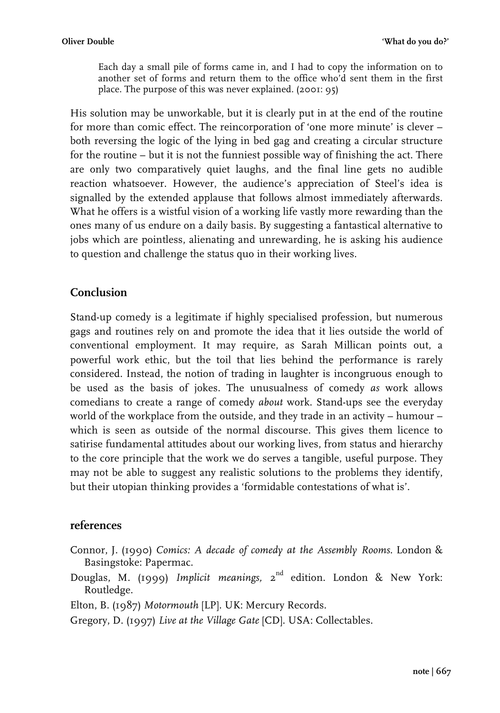Each day a small pile of forms came in, and I had to copy the information on to another set of forms and return them to the office who'd sent them in the first place. The purpose of this was never explained. (2001: 95)

His solution may be unworkable, but it is clearly put in at the end of the routine for more than comic effect. The reincorporation of 'one more minute' is clever – both reversing the logic of the lying in bed gag and creating a circular structure for the routine – but it is not the funniest possible way of finishing the act. There are only two comparatively quiet laughs, and the final line gets no audible reaction whatsoever. However, the audience's appreciation of Steel's idea is signalled by the extended applause that follows almost immediately afterwards. What he offers is a wistful vision of a working life vastly more rewarding than the ones many of us endure on a daily basis. By suggesting a fantastical alternative to jobs which are pointless, alienating and unrewarding, he is asking his audience to question and challenge the status quo in their working lives.

#### **Conclusion**

Stand-up comedy is a legitimate if highly specialised profession, but numerous gags and routines rely on and promote the idea that it lies outside the world of conventional employment. It may require, as Sarah Millican points out, a powerful work ethic, but the toil that lies behind the performance is rarely considered. Instead, the notion of trading in laughter is incongruous enough to be used as the basis of jokes. The unusualness of comedy *as* work allows comedians to create a range of comedy *about* work. Stand-ups see the everyday world of the workplace from the outside, and they trade in an activity – humour – which is seen as outside of the normal discourse. This gives them licence to satirise fundamental attitudes about our working lives, from status and hierarchy to the core principle that the work we do serves a tangible, useful purpose. They may not be able to suggest any realistic solutions to the problems they identify, but their utopian thinking provides a 'formidable contestations of what is'.

#### **references**

- Connor, J. (1990) *Comics: A decade of comedy at the Assembly Rooms*. London & Basingstoke: Papermac.
- Douglas, M. (1999) *Implicit meanings,* 2<sup>nd</sup> edition. London & New York: Routledge.
- Elton, B. (1987) *Motormouth* [LP]. UK: Mercury Records.

Gregory, D. (1997) *Live at the Village Gate* [CD]. USA: Collectables.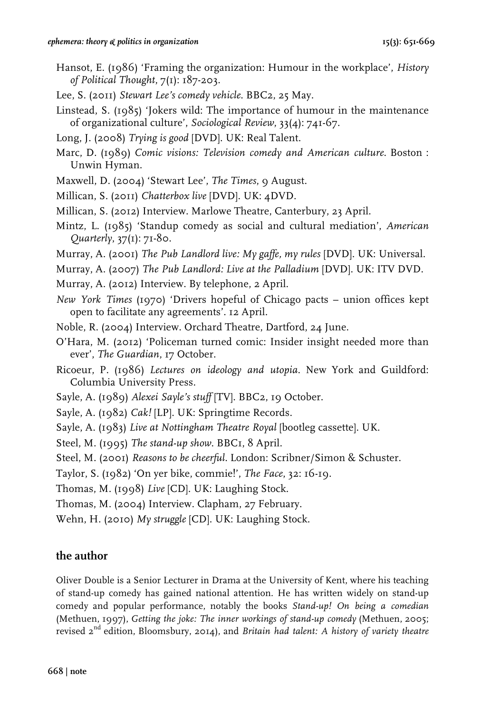- Hansot, E. (1986) 'Framing the organization: Humour in the workplace', *History of Political Thought*, 7(1): 187-203.
- Lee, S. (2011) *Stewart Lee's comedy vehicle*. BBC2, 25 May.
- Linstead, S. (1985) 'Jokers wild: The importance of humour in the maintenance of organizational culture', *Sociological Review*, 33(4): 741-67.
- Long, J. (2008) *Trying is good* [DVD]. UK: Real Talent.
- Marc, D. (1989) *Comic visions: Television comedy and American culture*. Boston : Unwin Hyman.
- Maxwell, D. (2004) 'Stewart Lee', *The Times*, 9 August.
- Millican, S. (2011) *Chatterbox live* [DVD]. UK: 4DVD.
- Millican, S. (2012) Interview. Marlowe Theatre, Canterbury, 23 April.
- Mintz, L. (1985) 'Standup comedy as social and cultural mediation', *American Quarterly*, 37(1): 71-80.
- Murray, A. (2001) *The Pub Landlord live: My gaffe, my rules* [DVD]. UK: Universal.
- Murray, A. (2007) *The Pub Landlord: Live at the Palladium* [DVD]. UK: ITV DVD.
- Murray, A. (2012) Interview. By telephone, 2 April.
- *New York Times* (1970) 'Drivers hopeful of Chicago pacts union offices kept open to facilitate any agreements'. 12 April.
- Noble, R. (2004) Interview. Orchard Theatre, Dartford, 24 June.
- O'Hara, M. (2012) 'Policeman turned comic: Insider insight needed more than ever', *The Guardian*, 17 October.
- Ricoeur, P. (1986) *Lectures on ideology and utopia*. New York and Guildford: Columbia University Press.
- Sayle, A. (1989) *Alexei Sayle's stuff* [TV]. BBC2, 19 October.
- Sayle, A. (1982) *Cak!* [LP]. UK: Springtime Records.
- Sayle, A. (1983) *Live at Nottingham Theatre Royal* [bootleg cassette]. UK.
- Steel, M. (1995) *The stand-up show*. BBC1, 8 April.

Steel, M. (2001) *Reasons to be cheerful*. London: Scribner/Simon & Schuster.

Taylor, S. (1982) 'On yer bike, commie!', *The Face*, 32: 16-19.

Thomas, M. (1998) *Live* [CD]. UK: Laughing Stock.

Thomas, M. (2004) Interview. Clapham, 27 February.

Wehn, H. (2010) *My struggle* [CD]. UK: Laughing Stock.

#### **the author**

Oliver Double is a Senior Lecturer in Drama at the University of Kent, where his teaching of stand-up comedy has gained national attention. He has written widely on stand-up comedy and popular performance, notably the books *Stand-up! On being a comedian* (Methuen, 1997), *Getting the joke: The inner workings of stand-up comedy* (Methuen, 2005; revised 2nd edition, Bloomsbury, 2014), and *Britain had talent: A history of variety theatre*